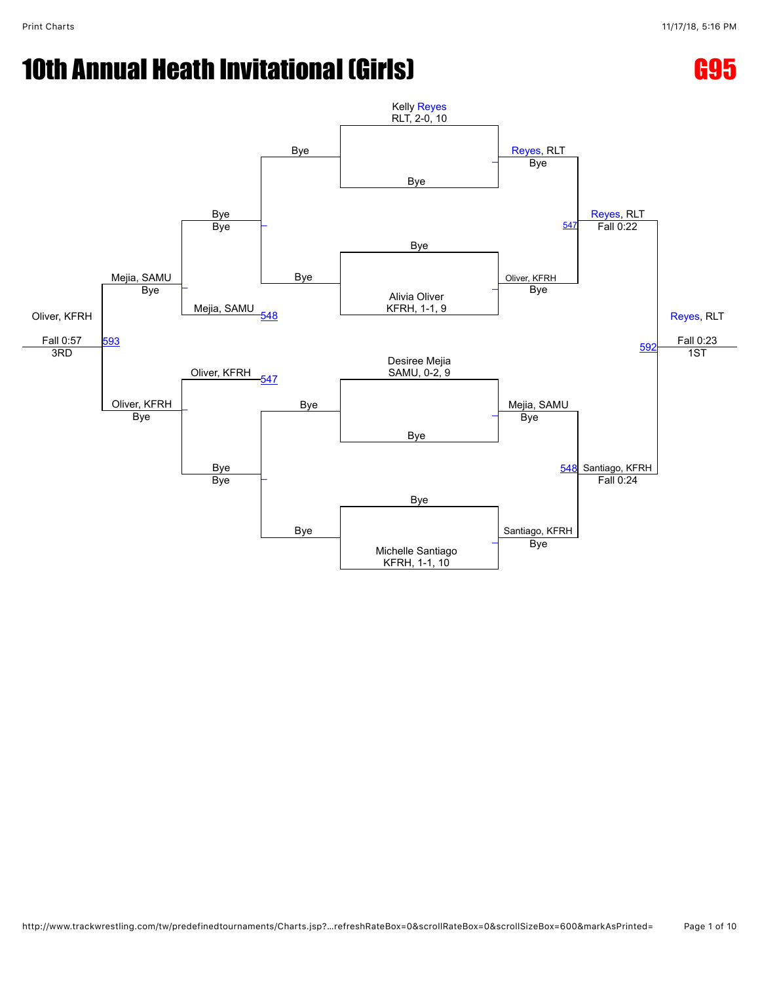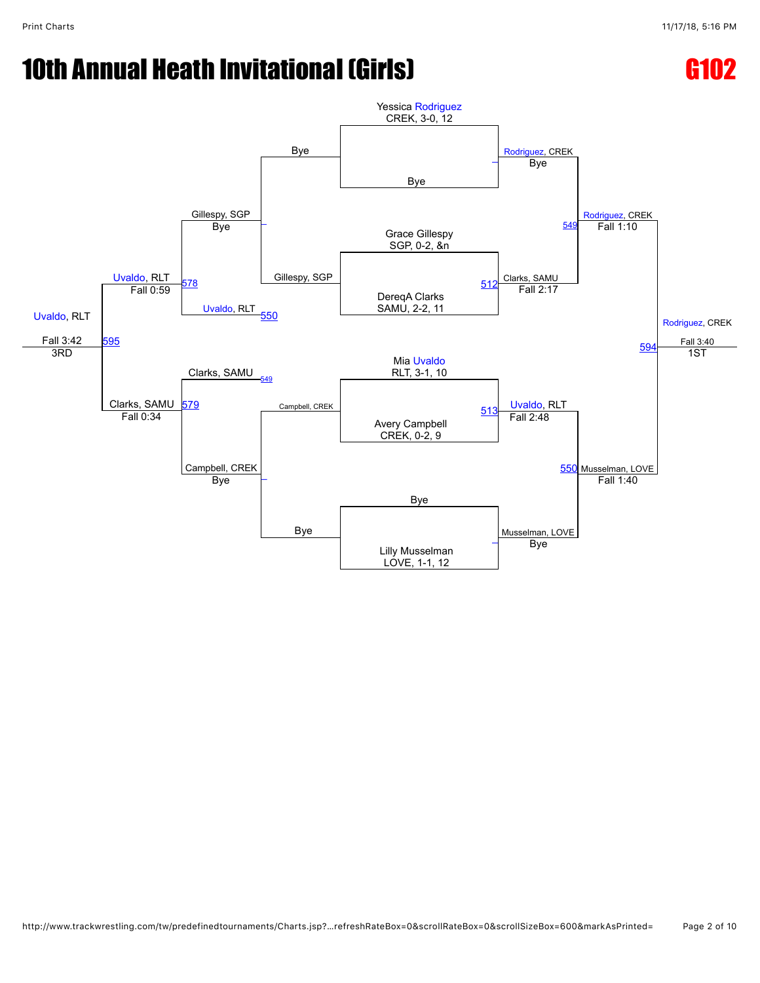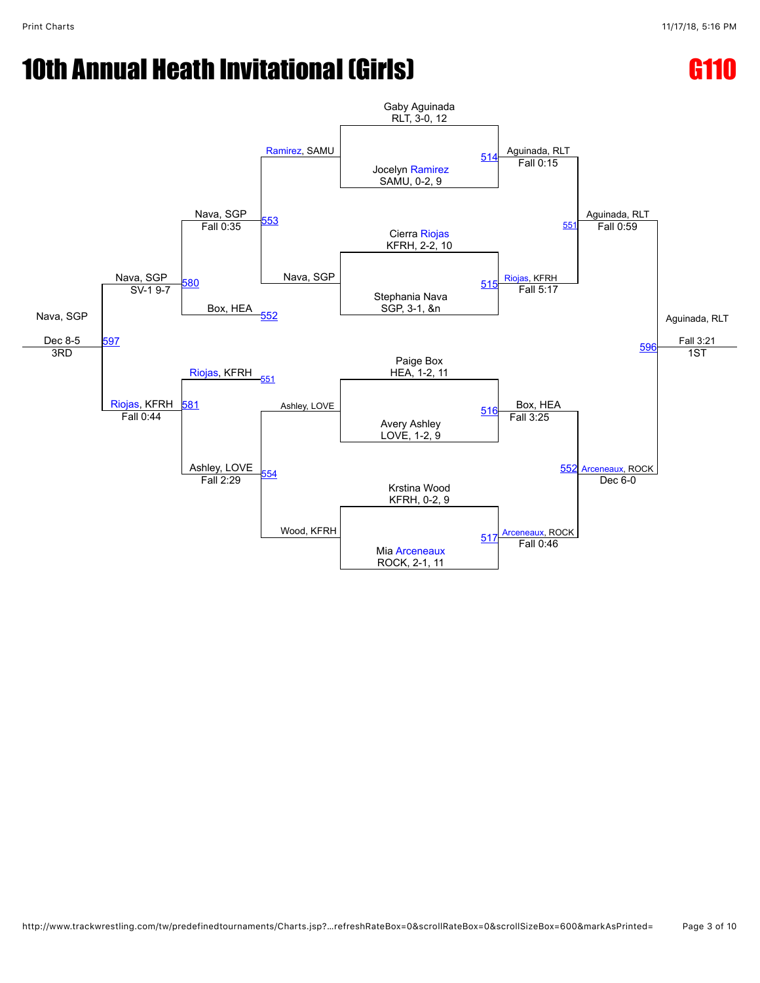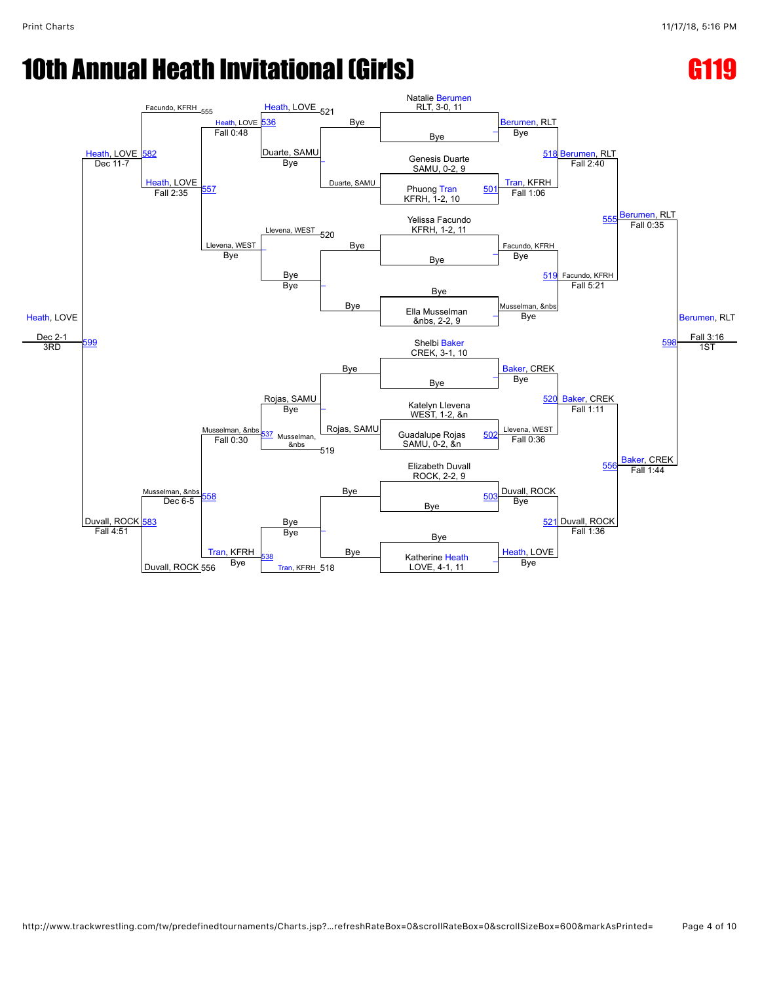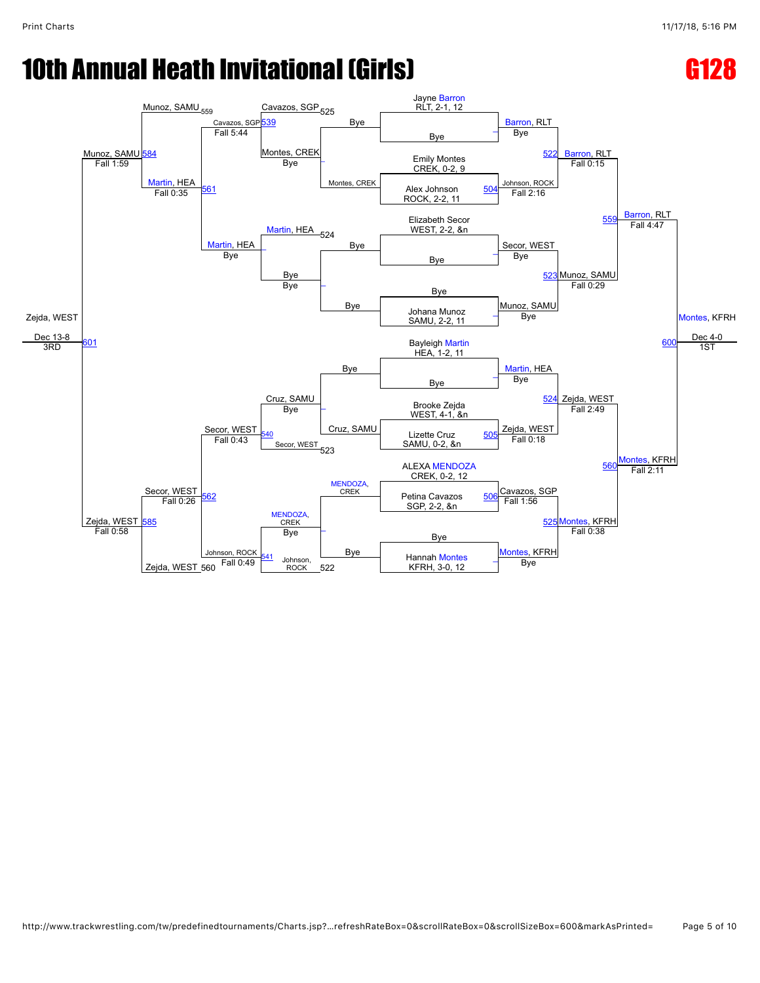

```
http://www.trackwrestling.com/tw/predefinedtournaments/Charts.jsp?…refreshRateBox=0&scrollRateBox=0&scrollSizeBox=600&markAsPrinted= Page 5 of 10
```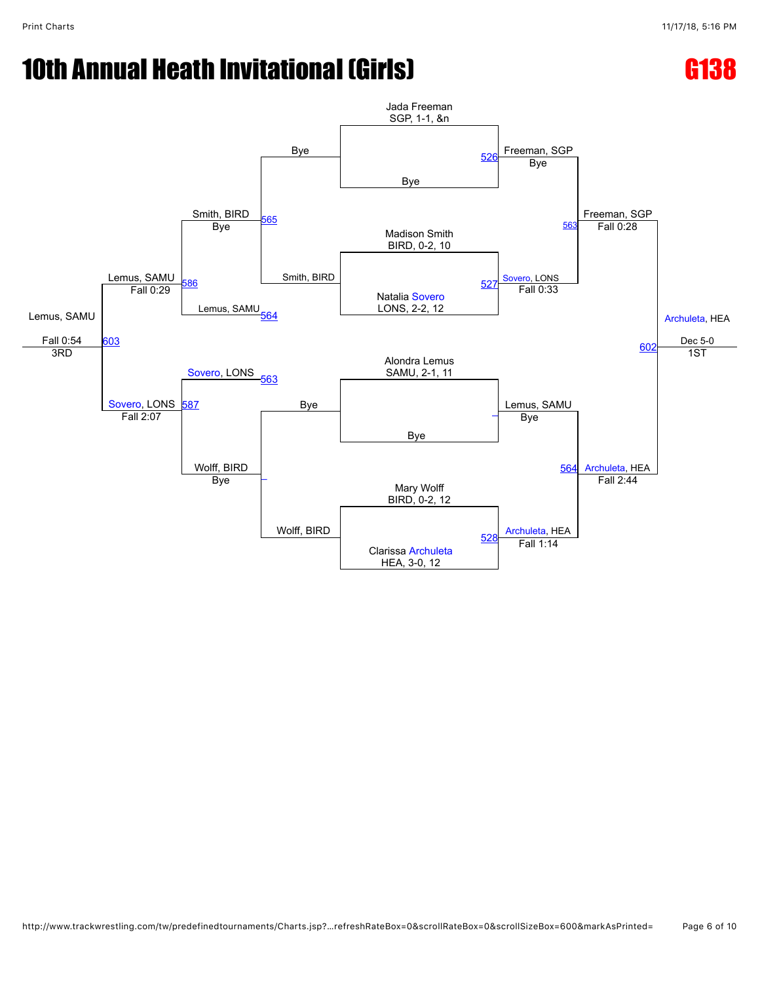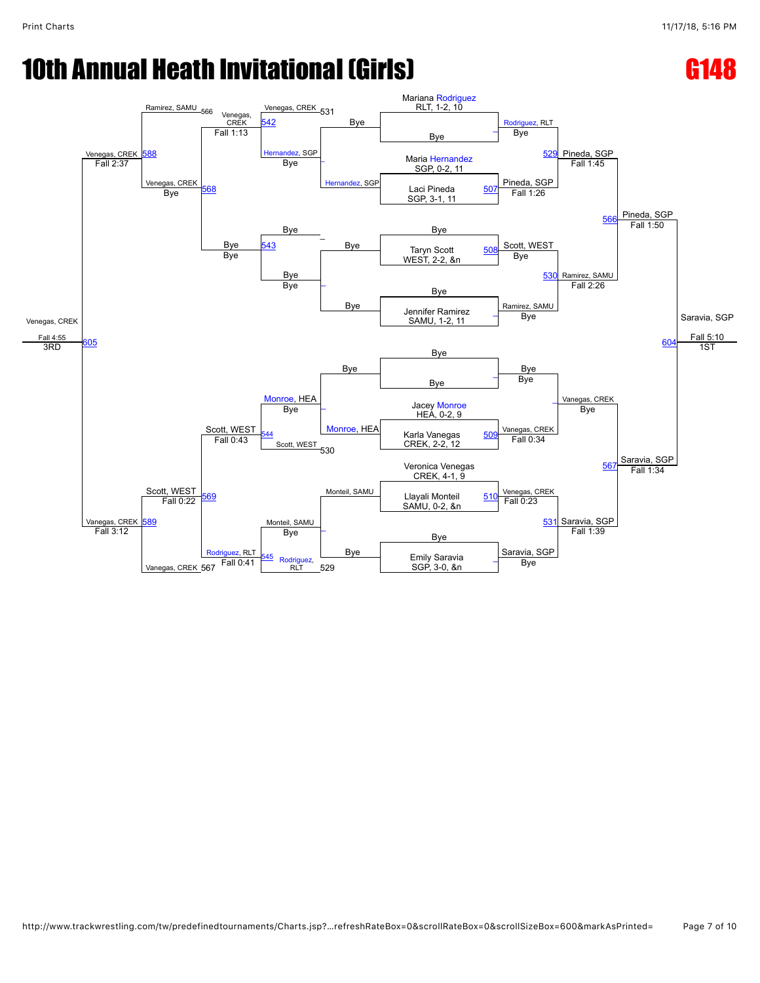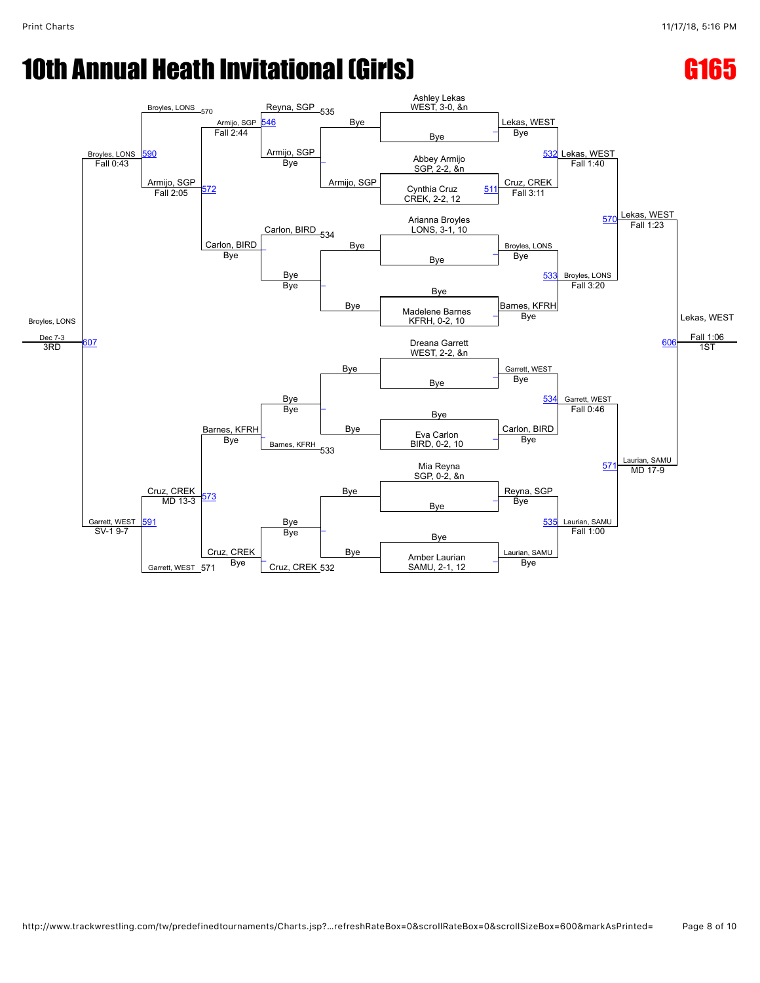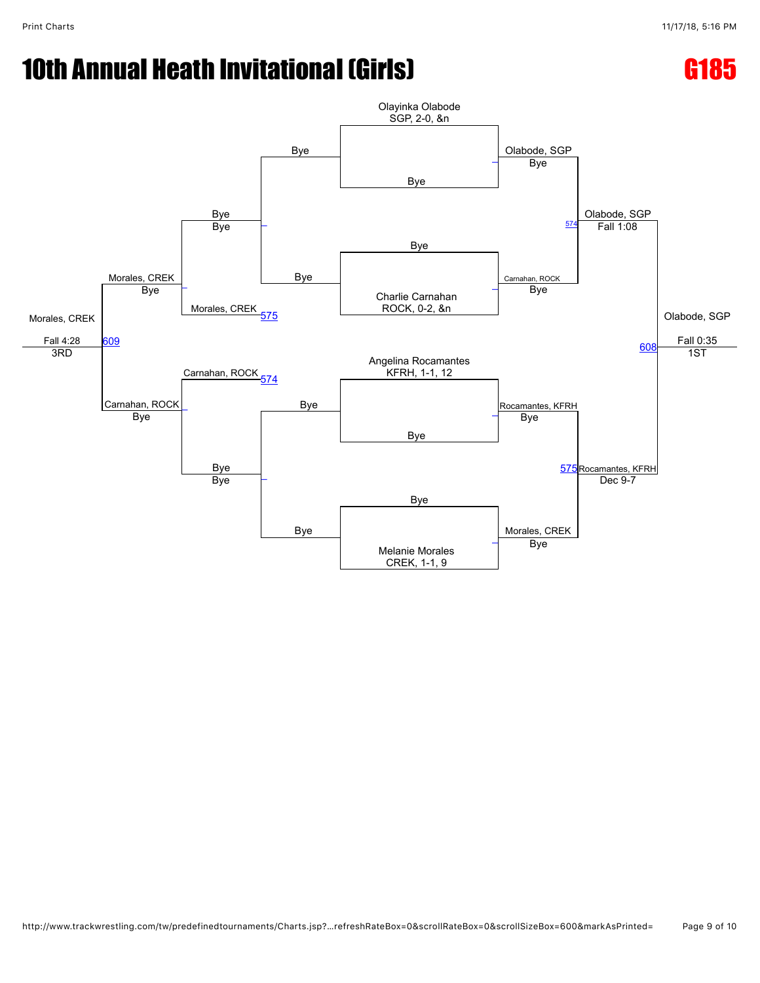